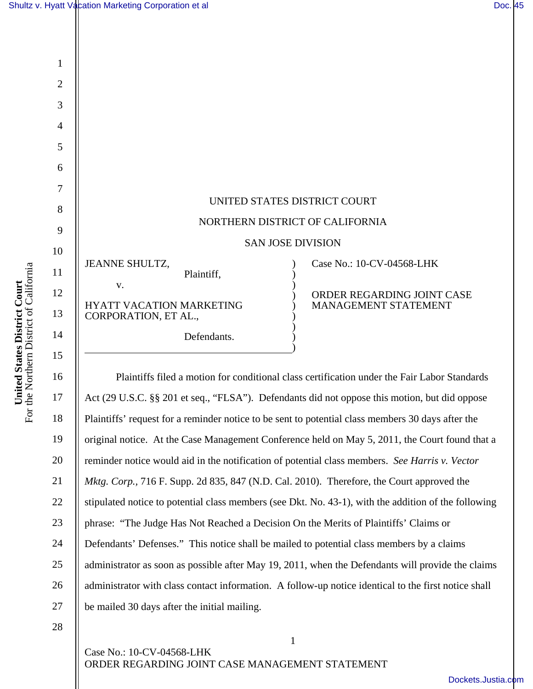

 Plaintiffs filed a motion for conditional class certification under the Fair Labor Standards Act (29 U.S.C. §§ 201 et seq., "FLSA"). Defendants did not oppose this motion, but did oppose Plaintiffs' request for a reminder notice to be sent to potential class members 30 days after the original notice. At the Case Management Conference held on May 5, 2011, the Court found that a reminder notice would aid in the notification of potential class members. *See Harris v. Vector Mktg. Corp.,* 716 F. Supp. 2d 835, 847 (N.D. Cal. 2010). Therefore, the Court approved the stipulated notice to potential class members (see Dkt. No. 43-1), with the addition of the following phrase: "The Judge Has Not Reached a Decision On the Merits of Plaintiffs' Claims or Defendants' Defenses." This notice shall be mailed to potential class members by a claims administrator as soon as possible after May 19, 2011, when the Defendants will provide the claims administrator with class contact information. A follow-up notice identical to the first notice shall be mailed 30 days after the initial mailing.

1

28

16

**United States District Court**  For the Northern District of California

United States District Court<br>For the Northern District of California

17

18

19

20

21

22

23

24

25

26

27

Case No.: 10-CV-04568-LHK ORDER REGARDING JOINT CASE MANAGEMENT STATEMENT